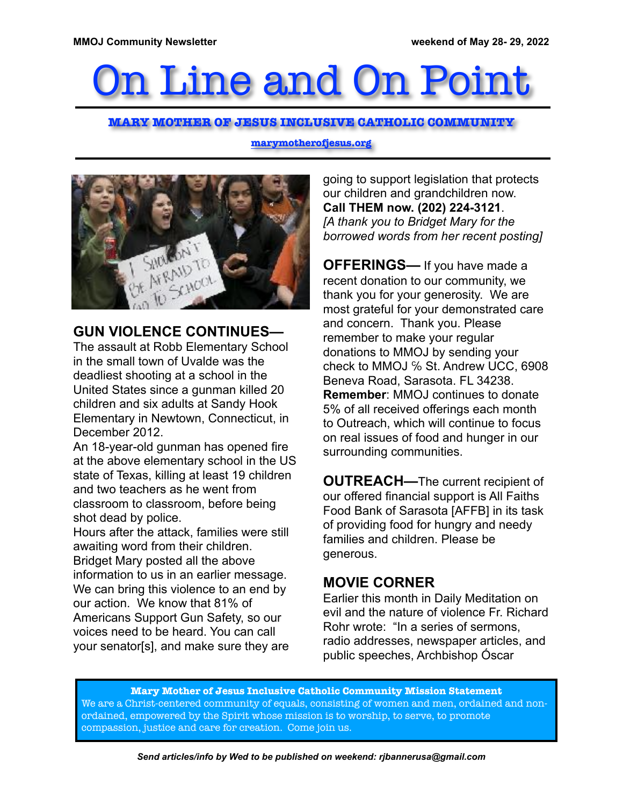# On Line and On Point

#### **MARY MOTHER OF JESUS INCLUSIVE CATHOLIC COMMUNITY**

**marymotherofjesus.org**



## **GUN VIOLENCE CONTINUES—**

The assault at Robb Elementary School in the small town of Uvalde was the deadliest shooting at a school in the United States since a gunman killed 20 children and six adults at Sandy Hook Elementary in Newtown, Connecticut, in December 2012.

An 18-year-old gunman has opened fire at the above elementary school in the US state of Texas, killing at least 19 children and two teachers as he went from classroom to classroom, before being shot dead by police.

Hours after the attack, families were still awaiting word from their children. Bridget Mary posted all the above information to us in an earlier message. We can bring this violence to an end by our action. We know that 81% of Americans Support Gun Safety, so our voices need to be heard. You can call your senator[s], and make sure they are going to support legislation that protects our children and grandchildren now. **Call THEM now. (202) 224-3121**. *[A thank you to Bridget Mary for the borrowed words from her recent posting]*

**OFFERINGS—** If you have made a recent donation to our community, we thank you for your generosity. We are most grateful for your demonstrated care and concern. Thank you. Please remember to make your regular donations to MMOJ by sending your check to MMOJ % St. Andrew UCC, 6908 Beneva Road, Sarasota. FL 34238. **Remember**: MMOJ continues to donate 5% of all received offerings each month to Outreach, which will continue to focus on real issues of food and hunger in our surrounding communities.

**OUTREACH—**The current recipient of our offered financial support is All Faiths Food Bank of Sarasota [AFFB] in its task of providing food for hungry and needy families and children. Please be generous.

## **MOVIE CORNER**

Earlier this month in Daily Meditation on evil and the nature of violence Fr. Richard Rohr wrote: "In a series of sermons, radio addresses, newspaper articles, and public speeches, Archbishop Óscar

**Mary Mother of Jesus Inclusive Catholic Community Mission Statement** We are a Christ-centered community of equals, consisting of women and men, ordained and nonordained, empowered by the Spirit whose mission is to worship, to serve, to promote compassion, justice and care for creation. Come join us.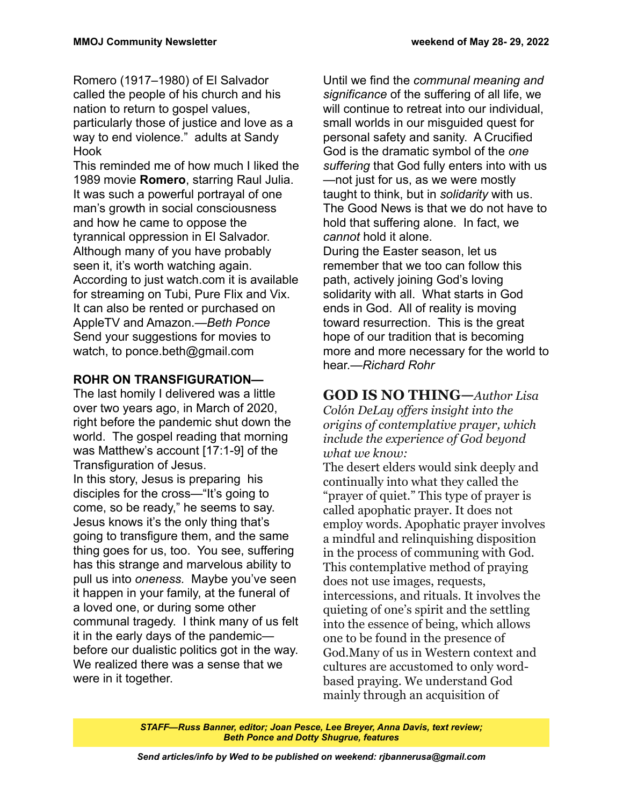Romero (1917–1980) of El Salvador called the people of his church and his nation to return to gospel values, particularly those of justice and love as a way to end violence." adults at Sandy Hook

This reminded me of how much I liked the 1989 movie **Romero**, starring Raul Julia. It was such a powerful portrayal of one man's growth in social consciousness and how he came to oppose the tyrannical oppression in El Salvador. Although many of you have probably seen it, it's worth watching again. According to just watch.com it is available for streaming on Tubi, Pure Flix and Vix. It can also be rented or purchased on AppleTV and Amazon.*—Beth Ponce* Send your suggestions for movies to watch, to ponce.beth@gmail.com

#### **ROHR ON TRANSFIGURATION—**

The last homily I delivered was a little over two years ago, in March of 2020, right before the pandemic shut down the world. The gospel reading that morning was Matthew's account [17:1-9] of the Transfiguration of Jesus. In this story, Jesus is preparing his disciples for the cross—"It's going to come, so be ready," he seems to say. Jesus knows it's the only thing that's going to transfigure them, and the same thing goes for us, too. You see, suffering has this strange and marvelous ability to pull us into *oneness.* Maybe you've seen it happen in your family, at the funeral of a loved one, or during some other communal tragedy. I think many of us felt it in the early days of the pandemic before our dualistic politics got in the way. We realized there was a sense that we were in it together.

Until we find the *communal meaning and significance* of the suffering of all life, we will continue to retreat into our individual. small worlds in our misguided quest for personal safety and sanity. A Crucified God is the dramatic symbol of the *one suffering* that God fully enters into with us —not just for us, as we were mostly taught to think, but in *solidarity* with us. The Good News is that we do not have to hold that suffering alone. In fact, we *cannot* hold it alone.

During the Easter season, let us remember that we too can follow this path, actively joining God's loving solidarity with all. What starts in God ends in God. All of reality is moving toward resurrection. This is the great hope of our tradition that is becoming more and more necessary for the world to hear.*—Richard Rohr*

#### **GOD IS NO THING—***Author Lisa*

*Colón DeLay offers insight into the origins of contemplative prayer, which include the experience of God beyond what we know:*

The desert elders would sink deeply and continually into what they called the "prayer of quiet." This type of prayer is called apophatic prayer. It does not employ words. Apophatic prayer involves a mindful and relinquishing disposition in the process of communing with God. This contemplative method of praying does not use images, requests, intercessions, and rituals. It involves the quieting of one's spirit and the settling into the essence of being, which allows one to be found in the presence of God.Many of us in Western context and cultures are accustomed to only wordbased praying. We understand God mainly through an acquisition of

*STAFF—Russ Banner, editor; Joan Pesce, Lee Breyer, Anna Davis, text review; Beth Ponce and Dotty Shugrue, features*